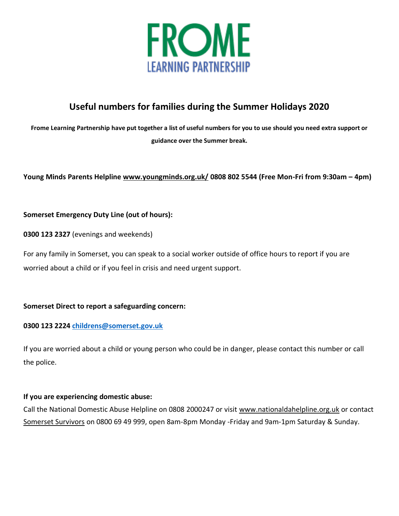

# **Useful numbers for families during the Summer Holidays 2020**

**Frome Learning Partnership have put together a list of useful numbers for you to use should you need extra support or guidance over the Summer break.** 

# **Young Minds Parents Helpline www.youngminds.org.uk/ 0808 802 5544 (Free Mon-Fri from 9:30am – 4pm)**

# **Somerset Emergency Duty Line (out of hours):**

**0300 123 2327** (evenings and weekends)

For any family in Somerset, you can speak to a social worker outside of office hours to report if you are worried about a child or if you feel in crisis and need urgent support.

### **Somerset Direct to report a safeguarding concern:**

### **0300 123 2224 [childrens@somerset.gov.uk](mailto:childrens@somerset.gov.uk)**

If you are worried about a child or young person who could be in danger, please contact this number or call the police.

### **If you are experiencing domestic abuse:**

Call the National Domestic Abuse Helpline on 0808 2000247 or visit [www.nationaldahelpline.org.uk](http://www.nationaldahelpline.org.uk/) or contact [Somerset Survivors](http://www.somersetsurvivors.org.uk/) on 0800 69 49 999, open 8am-8pm Monday -Friday and 9am-1pm Saturday & Sunday.